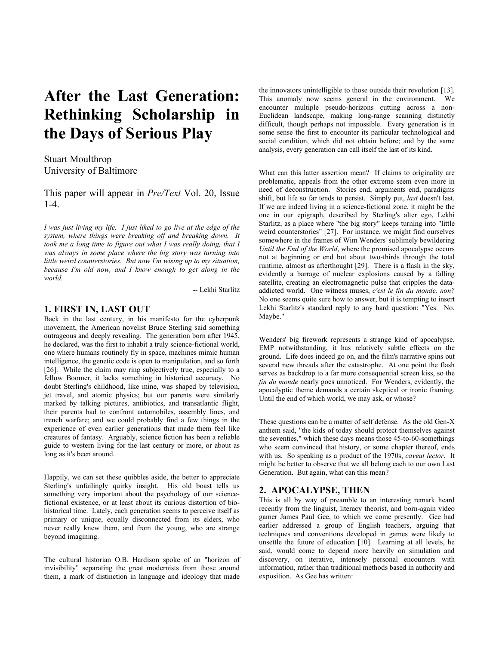# **After the Last Generation: Rethinking Scholarship in the Days of Serious Play**

Stuart Moulthrop University of Baltimore

This paper will appear in *Pre/Text* Vol. 20, Issue 1-4.

*I was just living my life. I just liked to go live at the edge of the system, where things were breaking off and breaking down. It took me a long time to figure out what I was really doing, that I was always in some place where the big story was turning into little weird counterstories. But now I'm wising up to my situation, because I'm old now, and I know enough to get along in the world.*

-- Lekhi Starlitz

#### **1. FIRST IN, LAST OUT**

Back in the last century, in his manifesto for the cyberpunk movement, the American novelist Bruce Sterling said something outrageous and deeply revealing. The generation born after 1945, he declared, was the first to inhabit a truly science-fictional world, one where humans routinely fly in space, machines mimic human intelligence, the genetic code is open to manipulation, and so forth [26]. While the claim may ring subjectively true, especially to a fellow Boomer, it lacks something in historical accuracy. No doubt Sterling's childhood, like mine, was shaped by television, jet travel, and atomic physics; but our parents were similarly marked by talking pictures, antibiotics, and transatlantic flight, their parents had to confront automobiles, assembly lines, and trench warfare; and we could probably find a few things in the experience of even earlier generations that made them feel like creatures of fantasy. Arguably, science fiction has been a reliable guide to western living for the last century or more, or about as long as it's been around.

Happily, we can set these quibbles aside, the better to appreciate Sterling's unfailingly quirky insight. His old boast tells us something very important about the psychology of our sciencefictional existence, or at least about its curious distortion of biohistorical time. Lately, each generation seems to perceive itself as primary or unique, equally disconnected from its elders, who never really knew them, and from the young, who are strange beyond imagining.

The cultural historian O.B. Hardison spoke of an "horizon of invisibility" separating the great modernists from those around them, a mark of distinction in language and ideology that made

the innovators unintelligible to those outside their revolution [13]. This anomaly now seems general in the environment. We encounter multiple pseudo-horizons cutting across a non-Euclidean landscape, making long-range scanning distinctly difficult, though perhaps not impossible. Every generation is in some sense the first to encounter its particular technological and social condition, which did not obtain before; and by the same analysis, every generation can call itself the last of its kind.

What can this latter assertion mean? If claims to originality are problematic, appeals from the other extreme seem even more in need of deconstruction. Stories end, arguments end, paradigms shift, but life so far tends to persist. Simply put, *last* doesn't last. If we are indeed living in a science-fictional zone, it might be the one in our epigraph, described by Sterling's alter ego, Lekhi Starlitz, as a place where "the big story" keeps turning into "little weird counterstories" [27]. For instance, we might find ourselves somewhere in the frames of Wim Wenders' sublimely bewildering *Until the End of the World*, where the promised apocalypse occurs not at beginning or end but about two-thirds through the total runtime, almost as afterthought [29]. There is a flash in the sky, evidently a barrage of nuclear explosions caused by a falling satellite, creating an electromagnetic pulse that cripples the dataaddicted world. One witness muses, *c'est le fin du monde, non?* No one seems quite sure how to answer, but it is tempting to insert Lekhi Starlitz's standard reply to any hard question: "Yes. No. Maybe."

Wenders' big firework represents a strange kind of apocalypse. EMP notwithstanding, it has relatively subtle effects on the ground. Life does indeed go on, and the film's narrative spins out several new threads after the catastrophe. At one point the flash serves as backdrop to a far more consequential screen kiss, so the *fin du monde* nearly goes unnoticed. For Wenders, evidently, the apocalyptic theme demands a certain skeptical or ironic framing. Until the end of which world, we may ask, or whose?

These questions can be a matter of self defense. As the old Gen-X anthem said, "the kids of today should protect themselves against the seventies," which these days means those 45-to-60-somethings who seem convinced that history, or some chapter thereof, ends with us. So speaking as a product of the 1970s, *caveat lector*. It might be better to observe that we all belong each to our own Last Generation. But again, what can this mean?

#### **2. APOCALYPSE, THEN**

This is all by way of preamble to an interesting remark heard recently from the linguist, literacy theorist, and born-again video gamer James Paul Gee, to which we come presently. Gee had earlier addressed a group of English teachers, arguing that techniques and conventions developed in games were likely to unsettle the future of education [10]. Learning at all levels, he said, would come to depend more heavily on simulation and discovery, on iterative, intensely personal encounters with information, rather than traditional methods based in authority and exposition. As Gee has written: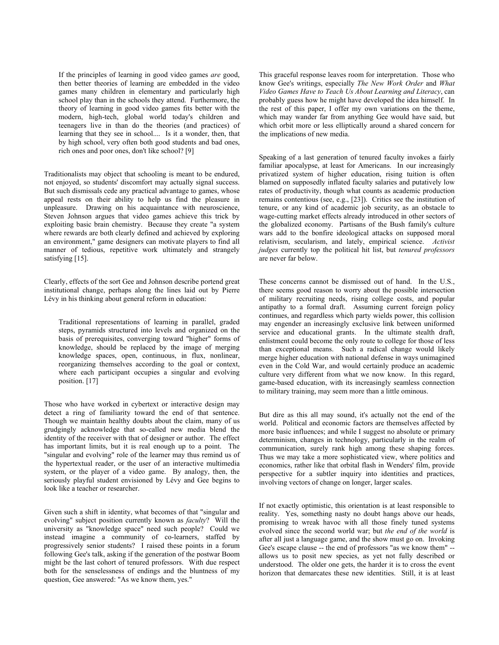If the principles of learning in good video games *are* good, then better theories of learning are embedded in the video games many children in elementary and particularly high school play than in the schools they attend. Furthermore, the theory of learning in good video games fits better with the modern, high-tech, global world today's children and teenagers live in than do the theories (and practices) of learning that they see in school.... Is it a wonder, then, that by high school, very often both good students and bad ones, rich ones and poor ones, don't like school? [9]

Traditionalists may object that schooling is meant to be endured, not enjoyed, so students' discomfort may actually signal success. But such dismissals cede any practical advantage to games, whose appeal rests on their ability to help us find the pleasure in unpleasure. Drawing on his acquaintance with neuroscience, Steven Johnson argues that video games achieve this trick by exploiting basic brain chemistry. Because they create "a system where rewards are both clearly defined and achieved by exploring an environment," game designers can motivate players to find all manner of tedious, repetitive work ultimately and strangely satisfying [15].

Clearly, effects of the sort Gee and Johnson describe portend great institutional change, perhaps along the lines laid out by Pierre Lévy in his thinking about general reform in education:

Traditional representations of learning in parallel, graded steps, pyramids structured into levels and organized on the basis of prerequisites, converging toward "higher" forms of knowledge, should be replaced by the image of merging knowledge spaces, open, continuous, in flux, nonlinear, reorganizing themselves according to the goal or context, where each participant occupies a singular and evolving position. [17]

Those who have worked in cybertext or interactive design may detect a ring of familiarity toward the end of that sentence. Though we maintain healthy doubts about the claim, many of us grudgingly acknowledge that so-called new media blend the identity of the receiver with that of designer or author. The effect has important limits, but it is real enough up to a point. The "singular and evolving" role of the learner may thus remind us of the hypertextual reader, or the user of an interactive multimedia system, or the player of a video game. By analogy, then, the seriously playful student envisioned by Lévy and Gee begins to look like a teacher or researcher.

Given such a shift in identity, what becomes of that "singular and evolving" subject position currently known as *faculty*? Will the university as "knowledge space" need such people? Could we instead imagine a community of co-learners, staffed by progressively senior students? I raised these points in a forum following Gee's talk, asking if the generation of the postwar Boom might be the last cohort of tenured professors. With due respect both for the senselessness of endings and the bluntness of my question, Gee answered: "As we know them, yes."

This graceful response leaves room for interpretation. Those who know Gee's writings, especially *The New Work Order* and *What Video Games Have to Teach Us About Learning and Literacy*, can probably guess how he might have developed the idea himself. In the rest of this paper, I offer my own variations on the theme, which may wander far from anything Gee would have said, but which orbit more or less elliptically around a shared concern for the implications of new media.

Speaking of a last generation of tenured faculty invokes a fairly familiar apocalypse, at least for Americans. In our increasingly privatized system of higher education, rising tuition is often blamed on supposedly inflated faculty salaries and putatively low rates of productivity, though what counts as academic production remains contentious (see, e.g., [23]). Critics see the institution of tenure, or any kind of academic job security, as an obstacle to wage-cutting market effects already introduced in other sectors of the globalized economy. Partisans of the Bush family's culture wars add to the bonfire ideological attacks on supposed moral relativism, secularism, and lately, empirical science. *Activist judges* currently top the political hit list, but *tenured professors* are never far below.

These concerns cannot be dismissed out of hand. In the U.S., there seems good reason to worry about the possible intersection of military recruiting needs, rising college costs, and popular antipathy to a formal draft. Assuming current foreign policy continues, and regardless which party wields power, this collision may engender an increasingly exclusive link between uniformed service and educational grants. In the ultimate stealth draft, enlistment could become the only route to college for those of less than exceptional means. Such a radical change would likely merge higher education with national defense in ways unimagined even in the Cold War, and would certainly produce an academic culture very different from what we now know. In this regard, game-based education, with its increasingly seamless connection to military training, may seem more than a little ominous.

But dire as this all may sound, it's actually not the end of the world. Political and economic factors are themselves affected by more basic influences; and while I suggest no absolute or primary determinism, changes in technology, particularly in the realm of communication, surely rank high among these shaping forces. Thus we may take a more sophisticated view, where politics and economics, rather like that orbital flash in Wenders' film, provide perspective for a subtler inquiry into identities and practices, involving vectors of change on longer, larger scales.

If not exactly optimistic, this orientation is at least responsible to reality. Yes, something nasty no doubt hangs above our heads, promising to wreak havoc with all those finely tuned systems evolved since the second world war; but *the end of the world* is after all just a language game, and the show must go on. Invoking Gee's escape clause -- the end of professors "as we know them" - allows us to posit new species, as yet not fully described or understood. The older one gets, the harder it is to cross the event horizon that demarcates these new identities. Still, it is at least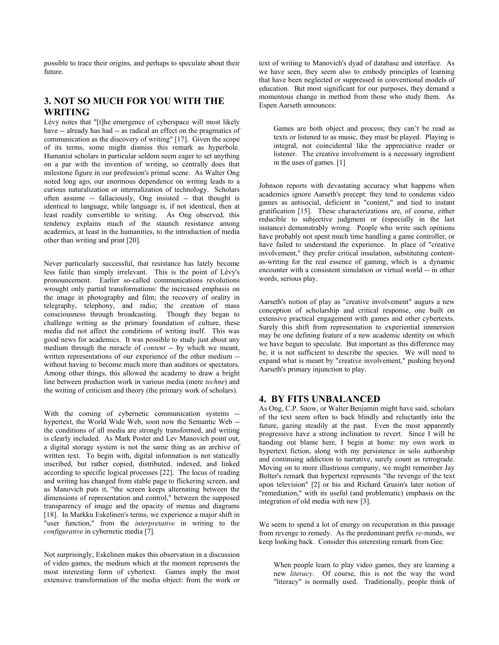possible to trace their origins, and perhaps to speculate about their future.

# **3. NOT SO MUCH FOR YOU WITH THE WRITING**

Lévy notes that "[t]he emergence of cyberspace will most likely have -- already has had -- as radical an effect on the pragmatics of communication as the discovery of writing" [17]. Given the scope of its terms, some might dismiss this remark as hyperbole. Humanist scholars in particular seldom seem eager to set anything on a par with the invention of writing, so centrally does that milestone figure in our profession's primal scene. As Walter Ong noted long ago, our enormous dependence on writing leads to a curious naturalization or internalization of technology. Scholars often assume -- fallaciously, Ong insisted -- that thought is identical to language, while language is, if not identical, then at least readily convertible to writing. As Ong observed, this tendency explains much of the staunch resistance among academics, at least in the humanities, to the introduction of media other than writing and print [20].

Never particularly successful, that resistance has lately become less futile than simply irrelevant. This is the point of Lévy's pronouncement. Earlier so-called communications revolutions wrought only partial transformations: the increased emphasis on the image in photography and film; the recovery of orality in telegraphy, telephony, and radio; the creation of mass consciousness through broadcasting. Though they began to challenge writing as the primary foundation of culture, these media did not affect the conditions of writing itself. This was good news for academics. It was possible to study just about any medium through the miracle of *content* -- by which we meant, written representations of our experience of the other medium - without having to become much more than auditors or spectators. Among other things, this allowed the academy to draw a bright line between production work in various media (mere *techne*) and the writing of criticism and theory (the primary work of scholars).

With the coming of cybernetic communication systems - hypertext, the World Wide Web, soon now the Semantic Web - the conditions of all media are strongly transformed, and writing is clearly included. As Mark Poster and Lev Manovich point out, a digital storage system is not the same thing as an archive of written text. To begin with, digital information is not statically inscribed, but rather copied, distributed, indexed, and linked according to specific logical processes [22]. The locus of reading and writing has changed from stable page to flickering screen, and as Manovich puts it, "the screen keeps alternating between the dimensions of representation and control," between the supposed transparency of image and the opacity of menus and diagrams [18]. In Markku Eskelinen's terms, we experience a major shift in "user function," from the *interpretative* in writing to the *configurative* in cybernetic media [7].

Not surprisingly, Eskelinen makes this observation in a discussion of video games, the medium which at the moment represents the most interesting form of cybertext. Games imply the most extensive transformation of the media object: from the work or

text of writing to Manovich's dyad of database and interface. As we have seen, they seem also to embody principles of learning that have been neglected or suppressed in conventional models of education. But most significant for our purposes, they demand a momentous change in method from those who study them. As Espen Aarseth announces:

Games are both object and process; they can't be read as texts or listened to as music, they must be played. Playing is integral, not coincidental like the appreciative reader or listener. The creative involvement is a necessary ingredient in the uses of games. [1]

Johnson reports with devastating accuracy what happens when academics ignore Aarseth's precept: they tend to condemn video games as antisocial, deficient in "content," and tied to instant gratification [15]. These characterizations are, of course, either reducible to subjective judgment or (especially in the last instance) demonstrably wrong. People who write such opinions have probably not spent much time handling a game controller, or have failed to understand the experience. In place of "creative involvement," they prefer critical insulation, substituting contentas-writing for the real essence of gaming, which is a dynamic encounter with a consistent simulation or virtual world -- in other words, serious play.

Aarseth's notion of play as "creative involvement" augurs a new conception of scholarship and critical response, one built on extensive practical engagement with games and other cybertexts. Surely this shift from representation to experiential immersion may be one defining feature of a new academic identity on which we have begun to speculate. But important as this difference may be, it is not sufficient to describe the species. We will need to expand what is meant by "creative involvement," pushing beyond Aarseth's primary injunction to play.

#### **4. BY FITS UNBALANCED**

As Ong, C.P. Snow, or Walter Benjamin might have said, scholars of the text seem often to back blindly and reluctantly into the future, gazing steadily at the past. Even the most apparently progressive have a strong inclination to revert. Since I will be handing out blame here, I begin at home: my own work in hypertext fiction, along with my persistence in solo authorship and continuing addiction to narrative, surely count as retrograde. Moving on to more illustrious company, we might remember Jay Bolter's remark that hypertext represents "the revenge of the text upon television" [2] or his and Richard Grusin's later notion of "remediation," with its useful (and problematic) emphasis on the integration of old media with new [3].

We seem to spend a lot of energy on recuperation in this passage from revenge to remedy. As the predominant prefix *re-*minds, we keep looking back. Consider this interesting remark from Gee:

When people learn to play video games, they are learning a new *literacy*. Of course, this is not the way the word "literacy" is normally used. Traditionally, people think of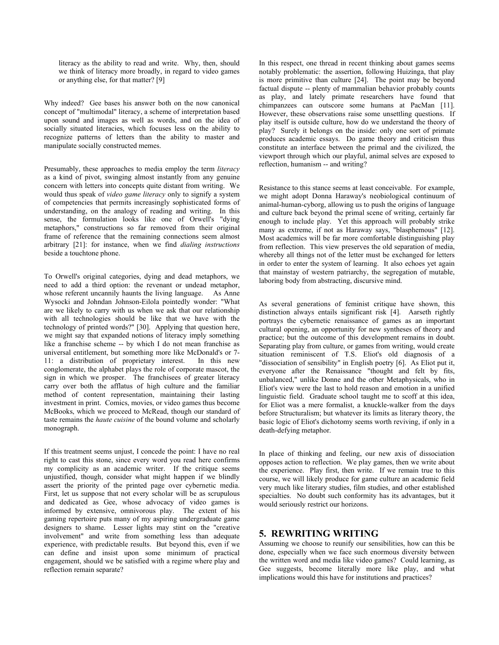literacy as the ability to read and write. Why, then, should we think of literacy more broadly, in regard to video games or anything else, for that matter? [9]

Why indeed? Gee bases his answer both on the now canonical concept of "multimodal" literacy, a scheme of interpretation based upon sound and images as well as words, and on the idea of socially situated literacies, which focuses less on the ability to recognize patterns of letters than the ability to master and manipulate socially constructed memes.

Presumably, these approaches to media employ the term *literacy* as a kind of pivot, swinging almost instantly from any genuine concern with letters into concepts quite distant from writing. We would thus speak of *video game literacy* only to signify a system of competencies that permits increasingly sophisticated forms of understanding, on the analogy of reading and writing. In this sense, the formulation looks like one of Orwell's "dying metaphors," constructions so far removed from their original frame of reference that the remaining connections seem almost arbitrary [21]: for instance, when we find *dialing instructions* beside a touchtone phone.

To Orwell's original categories, dying and dead metaphors, we need to add a third option: the revenant or undead metaphor, whose referent uncannily haunts the living language. As Anne Wysocki and Johndan Johnson-Eilola pointedly wonder: "What are we likely to carry with us when we ask that our relationship with all technologies should be like that we have with the technology of printed words?" [30]. Applying that question here, we might say that expanded notions of literacy imply something like a franchise scheme -- by which I do not mean franchise as universal entitlement, but something more like McDonald's or 7- 11: a distribution of proprietary interest. In this new conglomerate, the alphabet plays the role of corporate mascot, the sign in which we prosper. The franchisees of greater literacy carry over both the afflatus of high culture and the familiar method of content representation, maintaining their lasting investment in print. Comics, movies, or video games thus become McBooks, which we proceed to McRead, though our standard of taste remains the *haute cuisine* of the bound volume and scholarly monograph.

If this treatment seems unjust, I concede the point: I have no real right to cast this stone, since every word you read here confirms my complicity as an academic writer. If the critique seems unjustified, though, consider what might happen if we blindly assert the priority of the printed page over cybernetic media. First, let us suppose that not every scholar will be as scrupulous and dedicated as Gee, whose advocacy of video games is informed by extensive, omnivorous play. The extent of his gaming repertoire puts many of my aspiring undergraduate game designers to shame. Lesser lights may stint on the "creative involvement" and write from something less than adequate experience, with predictable results. But beyond this, even if we can define and insist upon some minimum of practical engagement, should we be satisfied with a regime where play and reflection remain separate?

In this respect, one thread in recent thinking about games seems notably problematic: the assertion, following Huizinga, that play is more primitive than culture [24]. The point may be beyond factual dispute -- plenty of mammalian behavior probably counts as play, and lately primate researchers have found that chimpanzees can outscore some humans at PacMan [11]. However, these observations raise some unsettling questions. If play itself is outside culture, how do we understand the theory of play? Surely it belongs on the inside: only one sort of primate produces academic essays. Do game theory and criticism thus constitute an interface between the primal and the civilized, the viewport through which our playful, animal selves are exposed to reflection, humanism -- and writing?

Resistance to this stance seems at least conceivable. For example, we might adopt Donna Haraway's neobiological continuum of animal-human-cyborg, allowing us to push the origins of language and culture back beyond the primal scene of writing, certainly far enough to include play. Yet this approach will probably strike many as extreme, if not as Haraway says, "blasphemous" [12]. Most academics will be far more comfortable distinguishing play from reflection. This view preserves the old separation of media, whereby all things not of the letter must be exchanged for letters in order to enter the system of learning. It also echoes yet again that mainstay of western patriarchy, the segregation of mutable, laboring body from abstracting, discursive mind.

As several generations of feminist critique have shown, this distinction always entails significant risk [4]. Aarseth rightly portrays the cybernetic renaissance of games as an important cultural opening, an opportunity for new syntheses of theory and practice; but the outcome of this development remains in doubt. Separating play from culture, or games from writing, would create situation reminiscent of T.S. Eliot's old diagnosis of a "dissociation of sensibility" in English poetry [6]. As Eliot put it, everyone after the Renaissance "thought and felt by fits, unbalanced," unlike Donne and the other Metaphysicals, who in Eliot's view were the last to hold reason and emotion in a unified linguistic field. Graduate school taught me to scoff at this idea, for Eliot was a mere formalist, a knuckle-walker from the days before Structuralism; but whatever its limits as literary theory, the basic logic of Eliot's dichotomy seems worth reviving, if only in a death-defying metaphor.

In place of thinking and feeling, our new axis of dissociation opposes action to reflection. We play games, then we write about the experience. Play first, then write. If we remain true to this course, we will likely produce for game culture an academic field very much like literary studies, film studies, and other established specialties. No doubt such conformity has its advantages, but it would seriously restrict our horizons.

### **5. REWRITING WRITING**

Assuming we choose to reunify our sensibilities, how can this be done, especially when we face such enormous diversity between the written word and media like video games? Could learning, as Gee suggests, become literally more like play, and what implications would this have for institutions and practices?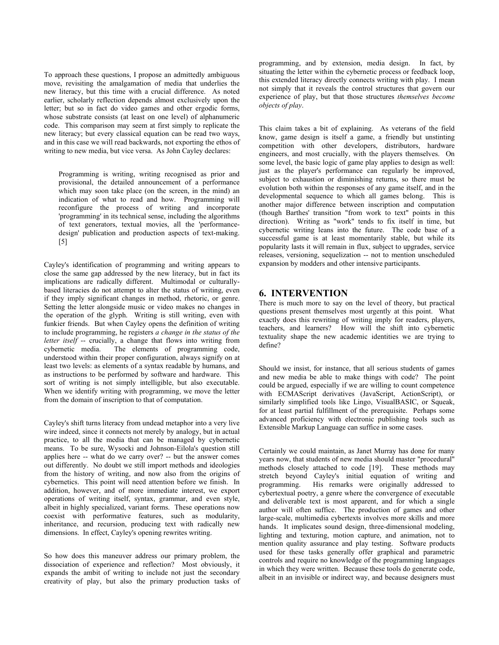To approach these questions, I propose an admittedly ambiguous move, revisiting the amalgamation of media that underlies the new literacy, but this time with a crucial difference. As noted earlier, scholarly reflection depends almost exclusively upon the letter; but so in fact do video games and other ergodic forms, whose substrate consists (at least on one level) of alphanumeric code. This comparison may seem at first simply to replicate the new literacy; but every classical equation can be read two ways, and in this case we will read backwards, not exporting the ethos of writing to new media, but vice versa. As John Cayley declares:

Programming is writing, writing recognised as prior and provisional, the detailed announcement of a performance which may soon take place (on the screen, in the mind) an indication of what to read and how. Programming will reconfigure the process of writing and incorporate 'programming' in its technical sense, including the algorithms of text generators, textual movies, all the 'performancedesign' publication and production aspects of text-making. [5]

Cayley's identification of programming and writing appears to close the same gap addressed by the new literacy, but in fact its implications are radically different. Multimodal or culturallybased literacies do not attempt to alter the status of writing, even if they imply significant changes in method, rhetoric, or genre. Setting the letter alongside music or video makes no changes in the operation of the glyph. Writing is still writing, even with funkier friends. But when Cayley opens the definition of writing to include programming, he registers *a change in the status of the letter itself* -- crucially, a change that flows into writing from cybernetic media. The elements of programming code, The elements of programming code, understood within their proper configuration, always signify on at least two levels: as elements of a syntax readable by humans, and as instructions to be performed by software and hardware. This sort of writing is not simply intelligible, but also executable. When we identify writing with programming, we move the letter from the domain of inscription to that of computation.

Cayley's shift turns literacy from undead metaphor into a very live wire indeed, since it connects not merely by analogy, but in actual practice, to all the media that can be managed by cybernetic means. To be sure, Wysocki and Johnson-Eilola's question still applies here -- what do we carry over? -- but the answer comes out differently. No doubt we still import methods and ideologies from the history of writing, and now also from the origins of cybernetics. This point will need attention before we finish. In addition, however, and of more immediate interest, we export operations of writing itself, syntax, grammar, and even style, albeit in highly specialized, variant forms. These operations now coexist with performative features, such as modularity, inheritance, and recursion, producing text with radically new dimensions. In effect, Cayley's opening rewrites writing.

So how does this maneuver address our primary problem, the dissociation of experience and reflection? Most obviously, it expands the ambit of writing to include not just the secondary creativity of play, but also the primary production tasks of programming, and by extension, media design. In fact, by situating the letter within the cybernetic process or feedback loop, this extended literacy directly connects writing with play. I mean not simply that it reveals the control structures that govern our experience of play, but that those structures *themselves become objects of play*.

This claim takes a bit of explaining. As veterans of the field know, game design is itself a game, a friendly but unstinting competition with other developers, distributors, hardware engineers, and most crucially, with the players themselves. On some level, the basic logic of game play applies to design as well: just as the player's performance can regularly be improved, subject to exhaustion or diminishing returns, so there must be evolution both within the responses of any game itself, and in the developmental sequence to which all games belong. This is another major difference between inscription and computation (though Barthes' transition "from work to text" points in this direction). Writing as "work" tends to fix itself in time, but cybernetic writing leans into the future. The code base of a successful game is at least momentarily stable, but while its popularity lasts it will remain in flux, subject to upgrades, service releases, versioning, sequelization -- not to mention unscheduled expansion by modders and other intensive participants.

## **6. INTERVENTION**

There is much more to say on the level of theory, but practical questions present themselves most urgently at this point. What exactly does this rewriting of writing imply for readers, players, teachers, and learners? How will the shift into cybernetic textuality shape the new academic identities we are trying to define?

Should we insist, for instance, that all serious students of games and new media be able to make things with code? The point could be argued, especially if we are willing to count competence with ECMAScript derivatives (JavaScript, ActionScript), or similarly simplified tools like Lingo, VisualBASIC, or Squeak, for at least partial fulfillment of the prerequisite. Perhaps some advanced proficiency with electronic publishing tools such as Extensible Markup Language can suffice in some cases.

Certainly we could maintain, as Janet Murray has done for many years now, that students of new media should master "procedural" methods closely attached to code [19]. These methods may stretch beyond Cayley's initial equation of writing and His remarks were originally addressed to cybertextual poetry, a genre where the convergence of executable and deliverable text is most apparent, and for which a single author will often suffice. The production of games and other large-scale, multimedia cybertexts involves more skills and more hands. It implicates sound design, three-dimensional modeling, lighting and texturing, motion capture, and animation, not to mention quality assurance and play testing. Software products used for these tasks generally offer graphical and parametric controls and require no knowledge of the programming languages in which they were written. Because these tools do generate code, albeit in an invisible or indirect way, and because designers must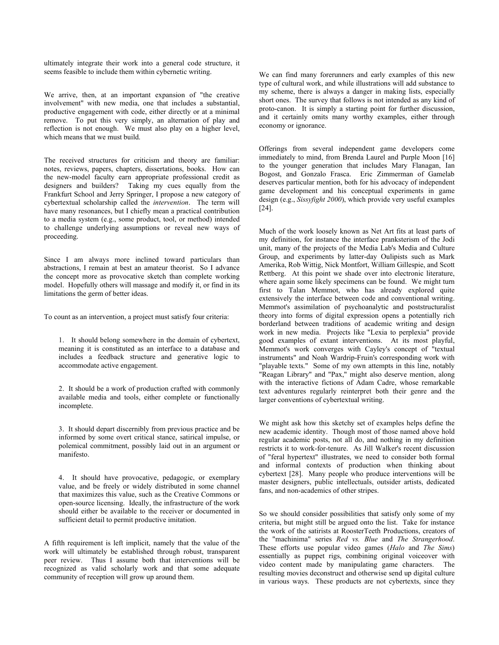ultimately integrate their work into a general code structure, it seems feasible to include them within cybernetic writing.

We arrive, then, at an important expansion of "the creative involvement" with new media, one that includes a substantial, productive engagement with code, either directly or at a minimal remove. To put this very simply, an alternation of play and reflection is not enough. We must also play on a higher level, which means that we must build.

The received structures for criticism and theory are familiar: notes, reviews, papers, chapters, dissertations, books. How can the new-model faculty earn appropriate professional credit as designers and builders? Taking my cues equally from the Frankfurt School and Jerry Springer, I propose a new category of cybertextual scholarship called the *intervention*. The term will have many resonances, but I chiefly mean a practical contribution to a media system (e.g., some product, tool, or method) intended to challenge underlying assumptions or reveal new ways of proceeding.

Since I am always more inclined toward particulars than abstractions, I remain at best an amateur theorist. So I advance the concept more as provocative sketch than complete working model. Hopefully others will massage and modify it, or find in its limitations the germ of better ideas.

To count as an intervention, a project must satisfy four criteria:

1. It should belong somewhere in the domain of cybertext, meaning it is constituted as an interface to a database and includes a feedback structure and generative logic to accommodate active engagement.

2. It should be a work of production crafted with commonly available media and tools, either complete or functionally incomplete.

3. It should depart discernibly from previous practice and be informed by some overt critical stance, satirical impulse, or polemical commitment, possibly laid out in an argument or manifesto.

4. It should have provocative, pedagogic, or exemplary value, and be freely or widely distributed in some channel that maximizes this value, such as the Creative Commons or open-source licensing. Ideally, the infrastructure of the work should either be available to the receiver or documented in sufficient detail to permit productive imitation.

A fifth requirement is left implicit, namely that the value of the work will ultimately be established through robust, transparent peer review. Thus I assume both that interventions will be recognized as valid scholarly work and that some adequate community of reception will grow up around them.

We can find many forerunners and early examples of this new type of cultural work, and while illustrations will add substance to my scheme, there is always a danger in making lists, especially short ones. The survey that follows is not intended as any kind of proto-canon. It is simply a starting point for further discussion, and it certainly omits many worthy examples, either through economy or ignorance.

Offerings from several independent game developers come immediately to mind, from Brenda Laurel and Purple Moon [16] to the younger generation that includes Mary Flanagan, Ian Bogost, and Gonzalo Frasca. Eric Zimmerman of Gamelab deserves particular mention, both for his advocacy of independent game development and his conceptual experiments in game design (e.g., *Sissyfight 2000*), which provide very useful examples [24].

Much of the work loosely known as Net Art fits at least parts of my definition, for instance the interface pranksterism of the Jodi unit, many of the projects of the Media Lab's Media and Culture Group, and experiments by latter-day Oulipists such as Mark Amerika, Rob Wittig, Nick Montfort, William Gillespie, and Scott Rettberg. At this point we shade over into electronic literature, where again some likely specimens can be found. We might turn first to Talan Memmot, who has already explored quite extensively the interface between code and conventional writing. Memmot's assimilation of psychoanalytic and poststructuralist theory into forms of digital expression opens a potentially rich borderland between traditions of academic writing and design work in new media. Projects like "Lexia to perplexia" provide good examples of extant interventions. At its most playful, Memmot's work converges with Cayley's concept of "textual instruments" and Noah Wardrip-Fruin's corresponding work with "playable texts." Some of my own attempts in this line, notably "Reagan Library" and "Pax," might also deserve mention, along with the interactive fictions of Adam Cadre, whose remarkable text adventures regularly reinterpret both their genre and the larger conventions of cybertextual writing.

We might ask how this sketchy set of examples helps define the new academic identity. Though most of those named above hold regular academic posts, not all do, and nothing in my definition restricts it to work-for-tenure. As Jill Walker's recent discussion of "feral hypertext" illustrates, we need to consider both formal and informal contexts of production when thinking about cybertext [28]. Many people who produce interventions will be master designers, public intellectuals, outsider artists, dedicated fans, and non-academics of other stripes.

So we should consider possibilities that satisfy only some of my criteria, but might still be argued onto the list. Take for instance the work of the satirists at RoosterTeeth Productions, creators of the "machinima" series *Red vs. Blue* and *The Strangerhood*. These efforts use popular video games (*Halo* and *The Sims*) essentially as puppet rigs, combining original voiceover with video content made by manipulating game characters. The resulting movies deconstruct and otherwise send up digital culture in various ways. These products are not cybertexts, since they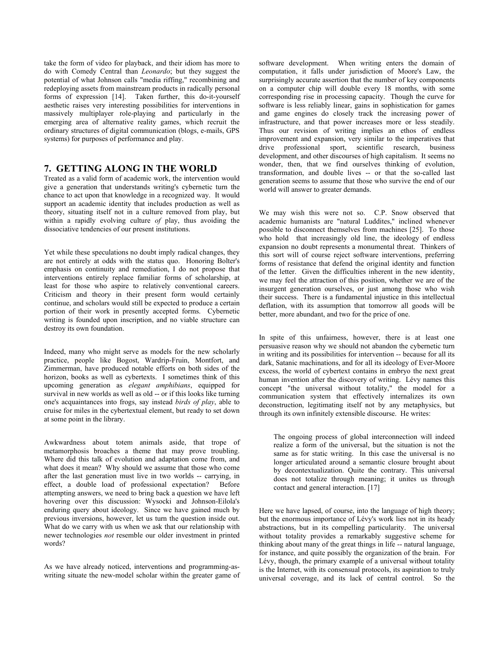take the form of video for playback, and their idiom has more to do with Comedy Central than *Leonardo*; but they suggest the potential of what Johnson calls "media riffing," recombining and redeploying assets from mainstream products in radically personal forms of expression [14]. Taken further, this do-it-yourself aesthetic raises very interesting possibilities for interventions in massively multiplayer role-playing and particularly in the emerging area of alternative reality games, which recruit the ordinary structures of digital communication (blogs, e-mails, GPS systems) for purposes of performance and play.

### **7. GETTING ALONG IN THE WORLD**

Treated as a valid form of academic work, the intervention would give a generation that understands writing's cybernetic turn the chance to act upon that knowledge in a recognized way. It would support an academic identity that includes production as well as theory, situating itself not in a culture removed from play, but within a rapidly evolving culture *of* play, thus avoiding the dissociative tendencies of our present institutions.

Yet while these speculations no doubt imply radical changes, they are not entirely at odds with the status quo. Honoring Bolter's emphasis on continuity and remediation, I do not propose that interventions entirely replace familiar forms of scholarship, at least for those who aspire to relatively conventional careers. Criticism and theory in their present form would certainly continue, and scholars would still be expected to produce a certain portion of their work in presently accepted forms. Cybernetic writing is founded upon inscription, and no viable structure can destroy its own foundation.

Indeed, many who might serve as models for the new scholarly practice, people like Bogost, Wardrip-Fruin, Montfort, and Zimmerman, have produced notable efforts on both sides of the horizon, books as well as cybertexts. I sometimes think of this upcoming generation as *elegant amphibians*, equipped for survival in new worlds as well as old -- or if this looks like turning one's acquaintances into frogs, say instead *birds of play*, able to cruise for miles in the cybertextual element, but ready to set down at some point in the library.

Awkwardness about totem animals aside, that trope of metamorphosis broaches a theme that may prove troubling. Where did this talk of evolution and adaptation come from, and what does it mean? Why should we assume that those who come after the last generation must live in two worlds -- carrying, in effect, a double load of professional expectation? Before attempting answers, we need to bring back a question we have left hovering over this discussion: Wysocki and Johnson-Eilola's enduring query about ideology. Since we have gained much by previous inversions, however, let us turn the question inside out. What do we carry with us when we ask that our relationship with newer technologies *not* resemble our older investment in printed words?

As we have already noticed, interventions and programming-aswriting situate the new-model scholar within the greater game of

software development. When writing enters the domain of computation, it falls under jurisdiction of Moore's Law, the surprisingly accurate assertion that the number of key components on a computer chip will double every 18 months, with some corresponding rise in processing capacity. Though the curve for software is less reliably linear, gains in sophistication for games and game engines do closely track the increasing power of infrastructure, and that power increases more or less steadily. Thus our revision of writing implies an ethos of endless improvement and expansion, very similar to the imperatives that drive professional sport, scientific research, business development, and other discourses of high capitalism. It seems no wonder, then, that we find ourselves thinking of evolution, transformation, and double lives -- or that the so-called last generation seems to assume that those who survive the end of our world will answer to greater demands.

We may wish this were not so. C.P. Snow observed that academic humanists are "natural Luddites," inclined whenever possible to disconnect themselves from machines [25]. To those who hold that increasingly old line, the ideology of endless expansion no doubt represents a monumental threat. Thinkers of this sort will of course reject software interventions, preferring forms of resistance that defend the original identity and function of the letter. Given the difficulties inherent in the new identity, we may feel the attraction of this position, whether we are of the insurgent generation ourselves, or just among those who wish their success. There is a fundamental injustice in this intellectual deflation, with its assumption that tomorrow all goods will be better, more abundant, and two for the price of one.

In spite of this unfairness, however, there is at least one persuasive reason why we should not abandon the cybernetic turn in writing and its possibilities for intervention -- because for all its dark, Satanic machinations, and for all its ideology of Ever-Moore excess, the world of cybertext contains in embryo the next great human invention after the discovery of writing. Lévy names this concept "the universal without totality," the model for a communication system that effectively internalizes its own deconstruction, legitimating itself not by any metaphysics, but through its own infinitely extensible discourse. He writes:

The ongoing process of global interconnection will indeed realize a form of the universal, but the situation is not the same as for static writing. In this case the universal is no longer articulated around a semantic closure brought about by decontextualization. Quite the contrary. This universal does not totalize through meaning; it unites us through contact and general interaction. [17]

Here we have lapsed, of course, into the language of high theory; but the enormous importance of Lévy's work lies not in its heady abstractions, but in its compelling particularity. The universal without totality provides a remarkably suggestive scheme for thinking about many of the great things in life -- natural language, for instance, and quite possibly the organization of the brain. For Lévy, though, the primary example of a universal without totality is the Internet, with its consensual protocols, its aspiration to truly universal coverage, and its lack of central control. So the